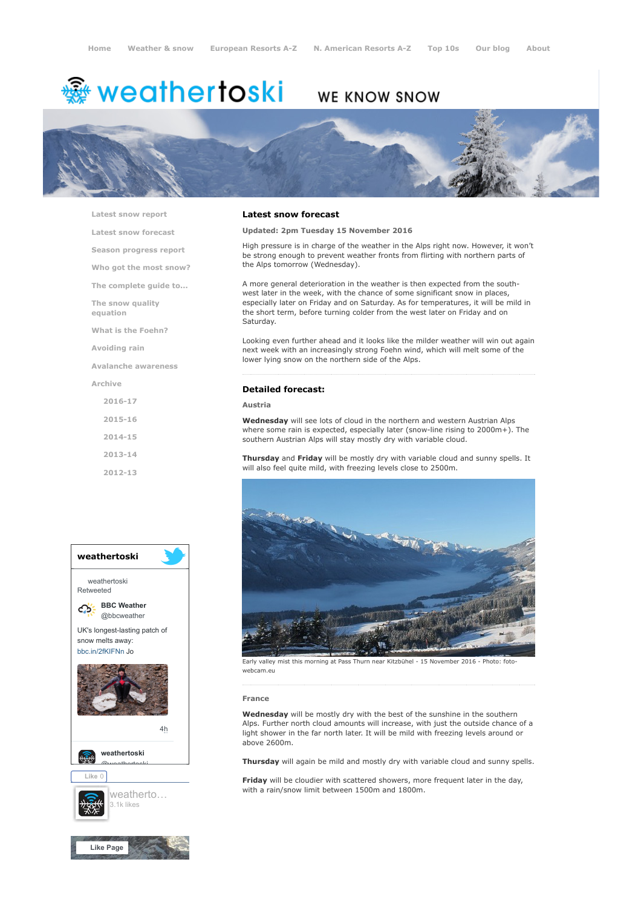# **※ weathertoski**

# WE KNOW SNOW



[Latest snow report](https://www.weathertoski.co.uk/weather-snow/latest-snow-report/)

[Latest snow forecast](https://www.weathertoski.co.uk/weather-snow/latest-snow-forecast/)

[Season progress report](https://www.weathertoski.co.uk/weather-snow/season-progress-report/)

[Who got the most snow?](https://www.weathertoski.co.uk/weather-snow/who-got-the-most-snow/)

[The complete guide to...](https://www.weathertoski.co.uk/weather-snow/the-complete-guide-to/)

[The snow quality](https://www.weathertoski.co.uk/weather-snow/the-snow-quality-equation/)

[What is the Foehn?](https://www.weathertoski.co.uk/weather-snow/what-is-the-foehn/)

[Avoiding rain](https://www.weathertoski.co.uk/weather-snow/avoiding-rain/)

[Avalanche awareness](https://www.weathertoski.co.uk/weather-snow/avalanche-awareness/)

[Archive](https://www.weathertoski.co.uk/weather-snow/archive/)

equation

[2016-17](https://www.weathertoski.co.uk/weather-snow/archive/2016-17/) [2015-16](https://www.weathertoski.co.uk/weather-snow/archive/2015-16/) [2014-15](https://www.weathertoski.co.uk/weather-snow/archive/2014-15/) [2013-14](https://www.weathertoski.co.uk/weather-snow/archive/2013-14/)

[2012-13](https://www.weathertoski.co.uk/weather-snow/archive/2012-13/)



### Latest snow forecast

#### Updated: 2pm Tuesday 15 November 2016

High pressure is in charge of the weather in the Alps right now. However, it won't be strong enough to prevent weather fronts from flirting with northern parts of the Alps tomorrow (Wednesday).

A more general deterioration in the weather is then expected from the southwest later in the week, with the chance of some significant snow in places, especially later on Friday and on Saturday. As for temperatures, it will be mild in the short term, before turning colder from the west later on Friday and on Saturday.

Looking even further ahead and it looks like the milder weather will win out again next week with an increasingly strong Foehn wind, which will melt some of the lower lying snow on the northern side of the Alps.

# Detailed forecast:

Austria

Wednesday will see lots of cloud in the northern and western Austrian Alps where some rain is expected, especially later (snow-line rising to 2000m+). The southern Austrian Alps will stay mostly dry with variable cloud.

Thursday and Friday will be mostly dry with variable cloud and sunny spells. It will also feel quite mild, with freezing levels close to 2500m.



Early valley mist this morning at Pass Thurn near Kitzbühel - 15 November 2016 - Photo: fotowebcam.eu

#### France

Wednesday will be mostly dry with the best of the sunshine in the southern Alps. Further north cloud amounts will increase, with just the outside chance of a light shower in the far north later. It will be mild with freezing levels around or above 2600m.

Thursday will again be mild and mostly dry with variable cloud and sunny spells.

Friday will be cloudier with scattered showers, more frequent later in the day, with a rain/snow limit between 1500m and 1800m.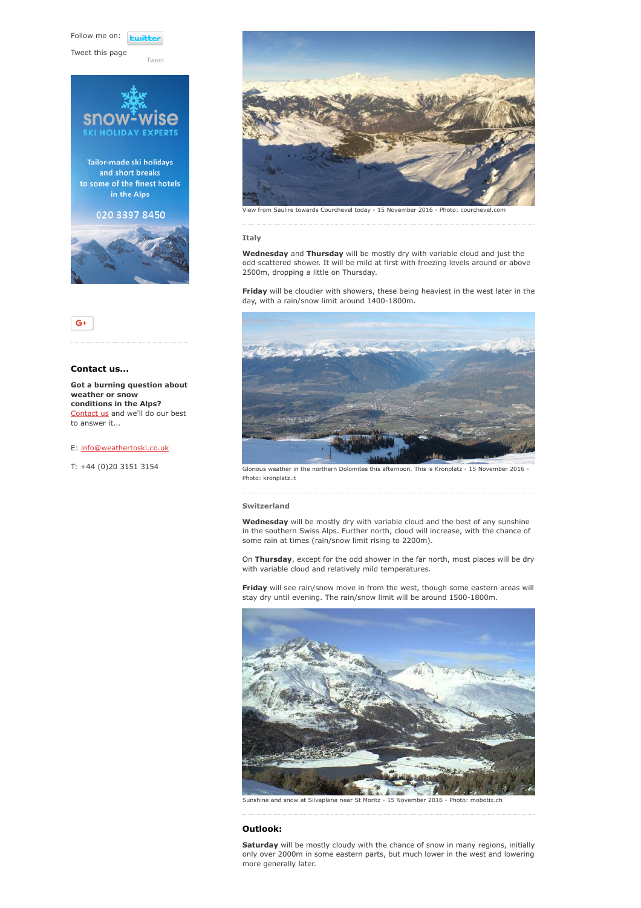Follow me on: *<u>twitte</u>* 

[Tweet](https://twitter.com/intent/tweet?original_referer=https%3A%2F%2Fwww.weathertoski.co.uk%2Fweather-snow%2Farchive%2Fsnow-forecast-15-11-2016%2F&ref_src=twsrc%5Etfw&text=Weather%20to%20ski%20-%20Snow%20forecast%20-%2015%20November%202016&tw_p=tweetbutton&url=https%3A%2F%2Fwww.weathertoski.co.uk%2Fweather-snow%2Farchive%2Fsnow-forecast-15-11-2016%2F)

Tweet this page





## Contact us...

Got a burning question about weather or snow conditions in the Alps? [Contact us](https://www.weathertoski.co.uk/about-1/contact-us/) and we'll do our best to answer it...

### E: [info@weathertoski.co.uk](mailto:fraser@weathertoski.co.uk)

T: +44 (0)20 3151 3154



View from Saulire towards Courchevel today - 15 November 2016 - Photo: courchevel.com

#### Italy

Wednesday and Thursday will be mostly dry with variable cloud and just the odd scattered shower. It will be mild at first with freezing levels around or above 2500m, dropping a little on Thursday.

Friday will be cloudier with showers, these being heaviest in the west later in the day, with a rain/snow limit around 1400-1800m.



Glorious weather in the northern Dolomites this afternoon. This is Kronplatz - 15 November 2016 Photo: kronplatz.it

#### Switzerland

Wednesday will be mostly dry with variable cloud and the best of any sunshine in the southern Swiss Alps. Further north, cloud will increase, with the chance of some rain at times (rain/snow limit rising to 2200m).

On Thursday, except for the odd shower in the far north, most places will be dry with variable cloud and relatively mild temperatures.

Friday will see rain/snow move in from the west, though some eastern areas will stay dry until evening. The rain/snow limit will be around 1500-1800m.



Sunshine and snow at Silvaplana near St Moritz - 15 November 2016 - Photo: mobotix.ch

#### Outlook:

Saturday will be mostly cloudy with the chance of snow in many regions, initially only over 2000m in some eastern parts, but much lower in the west and lowering more generally later.